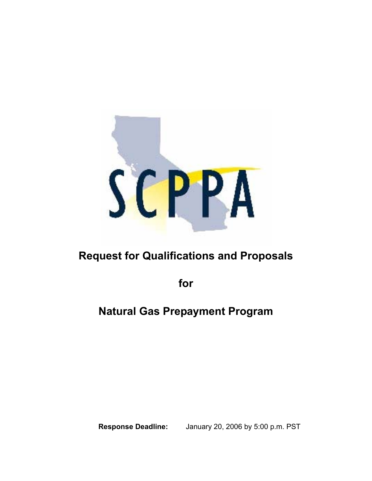

# **Request for Qualifications and Proposals**

**for** 

## **Natural Gas Prepayment Program**

**Response Deadline:** January 20, 2006 by 5:00 p.m. PST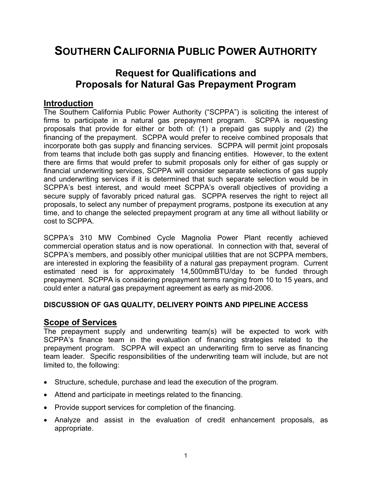## **SOUTHERN CALIFORNIA PUBLIC POWER AUTHORITY**

## **Request for Qualifications and Proposals for Natural Gas Prepayment Program**

#### **Introduction**

The Southern California Public Power Authority ("SCPPA") is soliciting the interest of firms to participate in a natural gas prepayment program. SCPPA is requesting proposals that provide for either or both of: (1) a prepaid gas supply and (2) the financing of the prepayment. SCPPA would prefer to receive combined proposals that incorporate both gas supply and financing services. SCPPA will permit joint proposals from teams that include both gas supply and financing entities. However, to the extent there are firms that would prefer to submit proposals only for either of gas supply or financial underwriting services, SCPPA will consider separate selections of gas supply and underwriting services if it is determined that such separate selection would be in SCPPA's best interest, and would meet SCPPA's overall objectives of providing a secure supply of favorably priced natural gas. SCPPA reserves the right to reject all proposals, to select any number of prepayment programs, postpone its execution at any time, and to change the selected prepayment program at any time all without liability or cost to SCPPA.

SCPPA's 310 MW Combined Cycle Magnolia Power Plant recently achieved commercial operation status and is now operational. In connection with that, several of SCPPA's members, and possibly other municipal utilities that are not SCPPA members, are interested in exploring the feasibility of a natural gas prepayment program. Current estimated need is for approximately 14,500mmBTU/day to be funded through prepayment. SCPPA is considering prepayment terms ranging from 10 to 15 years, and could enter a natural gas prepayment agreement as early as mid-2006.

#### **DISCUSSION OF GAS QUALITY, DELIVERY POINTS AND PIPELINE ACCESS**

#### **Scope of Services**

The prepayment supply and underwriting team(s) will be expected to work with SCPPA's finance team in the evaluation of financing strategies related to the prepayment program. SCPPA will expect an underwriting firm to serve as financing team leader. Specific responsibilities of the underwriting team will include, but are not limited to, the following:

- Structure, schedule, purchase and lead the execution of the program.
- Attend and participate in meetings related to the financing.
- Provide support services for completion of the financing.
- Analyze and assist in the evaluation of credit enhancement proposals, as appropriate.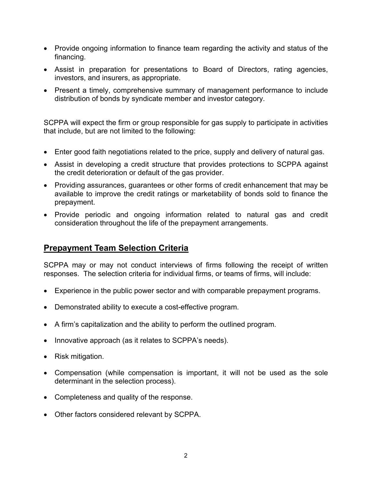- Provide ongoing information to finance team regarding the activity and status of the financing.
- Assist in preparation for presentations to Board of Directors, rating agencies, investors, and insurers, as appropriate.
- Present a timely, comprehensive summary of management performance to include distribution of bonds by syndicate member and investor category.

SCPPA will expect the firm or group responsible for gas supply to participate in activities that include, but are not limited to the following:

- Enter good faith negotiations related to the price, supply and delivery of natural gas.
- Assist in developing a credit structure that provides protections to SCPPA against the credit deterioration or default of the gas provider.
- Providing assurances, guarantees or other forms of credit enhancement that may be available to improve the credit ratings or marketability of bonds sold to finance the prepayment.
- Provide periodic and ongoing information related to natural gas and credit consideration throughout the life of the prepayment arrangements.

## **Prepayment Team Selection Criteria**

SCPPA may or may not conduct interviews of firms following the receipt of written responses. The selection criteria for individual firms, or teams of firms, will include:

- Experience in the public power sector and with comparable prepayment programs.
- Demonstrated ability to execute a cost-effective program.
- A firm's capitalization and the ability to perform the outlined program.
- Innovative approach (as it relates to SCPPA's needs).
- Risk mitigation.
- Compensation (while compensation is important, it will not be used as the sole determinant in the selection process).
- Completeness and quality of the response.
- Other factors considered relevant by SCPPA.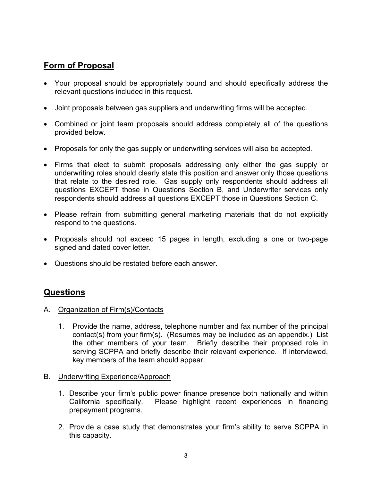## **Form of Proposal**

- Your proposal should be appropriately bound and should specifically address the relevant questions included in this request.
- Joint proposals between gas suppliers and underwriting firms will be accepted.
- Combined or joint team proposals should address completely all of the questions provided below.
- Proposals for only the gas supply or underwriting services will also be accepted.
- Firms that elect to submit proposals addressing only either the gas supply or underwriting roles should clearly state this position and answer only those questions that relate to the desired role. Gas supply only respondents should address all questions EXCEPT those in Questions Section B, and Underwriter services only respondents should address all questions EXCEPT those in Questions Section C.
- Please refrain from submitting general marketing materials that do not explicitly respond to the questions.
- Proposals should not exceed 15 pages in length, excluding a one or two-page signed and dated cover letter.
- Questions should be restated before each answer.

## **Questions**

- A. Organization of Firm(s)/Contacts
	- 1. Provide the name, address, telephone number and fax number of the principal contact(s) from your firm(s). (Resumes may be included as an appendix.) List the other members of your team. Briefly describe their proposed role in serving SCPPA and briefly describe their relevant experience. If interviewed, key members of the team should appear.
- B. Underwriting Experience/Approach
	- 1. Describe your firm's public power finance presence both nationally and within California specifically. Please highlight recent experiences in financing prepayment programs.
	- 2. Provide a case study that demonstrates your firm's ability to serve SCPPA in this capacity.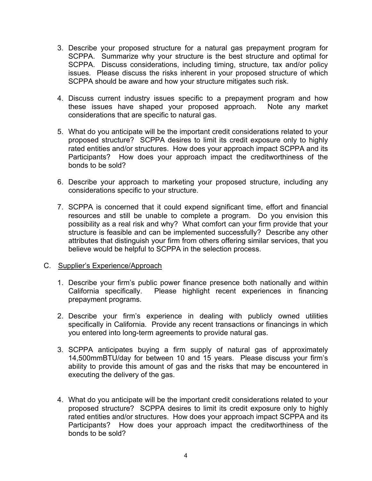- 3. Describe your proposed structure for a natural gas prepayment program for SCPPA. Summarize why your structure is the best structure and optimal for SCPPA. Discuss considerations, including timing, structure, tax and/or policy issues. Please discuss the risks inherent in your proposed structure of which SCPPA should be aware and how your structure mitigates such risk.
- 4. Discuss current industry issues specific to a prepayment program and how these issues have shaped your proposed approach. Note any market considerations that are specific to natural gas.
- 5. What do you anticipate will be the important credit considerations related to your proposed structure? SCPPA desires to limit its credit exposure only to highly rated entities and/or structures. How does your approach impact SCPPA and its Participants? How does your approach impact the creditworthiness of the bonds to be sold?
- 6. Describe your approach to marketing your proposed structure, including any considerations specific to your structure.
- 7. SCPPA is concerned that it could expend significant time, effort and financial resources and still be unable to complete a program. Do you envision this possibility as a real risk and why? What comfort can your firm provide that your structure is feasible and can be implemented successfully? Describe any other attributes that distinguish your firm from others offering similar services, that you believe would be helpful to SCPPA in the selection process.

#### C. Supplier's Experience/Approach

- 1. Describe your firm's public power finance presence both nationally and within California specifically. Please highlight recent experiences in financing prepayment programs.
- 2. Describe your firm's experience in dealing with publicly owned utilities specifically in California. Provide any recent transactions or financings in which you entered into long-term agreements to provide natural gas.
- 3. SCPPA anticipates buying a firm supply of natural gas of approximately 14,500mmBTU/day for between 10 and 15 years. Please discuss your firm's ability to provide this amount of gas and the risks that may be encountered in executing the delivery of the gas.
- 4. What do you anticipate will be the important credit considerations related to your proposed structure? SCPPA desires to limit its credit exposure only to highly rated entities and/or structures. How does your approach impact SCPPA and its Participants? How does your approach impact the creditworthiness of the bonds to be sold?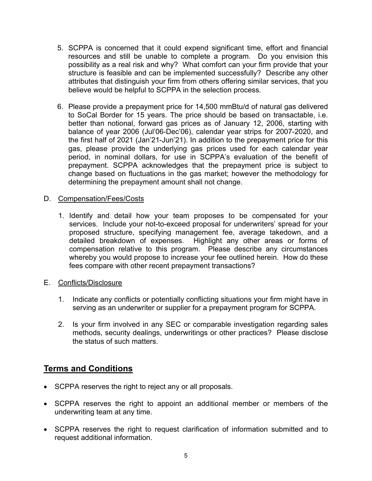- 5. SCPPA is concerned that it could expend significant time, effort and financial resources and still be unable to complete a program. Do you envision this possibility as a real risk and why? What comfort can your firm provide that your structure is feasible and can be implemented successfully? Describe any other attributes that distinguish your firm from others offering similar services, that you believe would be helpful to SCPPA in the selection process.
- 6. Please provide a prepayment price for 14,500 mmBtu/d of natural gas delivered to SoCal Border for 15 years. The price should be based on transactable, i.e. better than notional, forward gas prices as of January 12, 2006, starting with balance of year 2006 (Jul'06-Dec'06), calendar year strips for 2007-2020, and the first half of 2021 (Jan'21-Jun'21). In addition to the prepayment price for this gas, please provide the underlying gas prices used for each calendar year period, in nominal dollars, for use in SCPPA's evaluation of the benefit of prepayment. SCPPA acknowledges that the prepayment price is subject to change based on fluctuations in the gas market; however the methodology for determining the prepayment amount shall not change.
- D. Compensation/Fees/Costs
	- 1. Identify and detail how your team proposes to be compensated for your services. Include your not-to-exceed proposal for underwriters' spread for your proposed structure, specifying management fee, average takedown, and a detailed breakdown of expenses. Highlight any other areas or forms of compensation relative to this program. Please describe any circumstances whereby you would propose to increase your fee outlined herein. How do these fees compare with other recent prepayment transactions?
- E. Conflicts/Disclosure
	- 1. Indicate any conflicts or potentially conflicting situations your firm might have in serving as an underwriter or supplier for a prepayment program for SCPPA.
	- 2. Is your firm involved in any SEC or comparable investigation regarding sales methods, security dealings, underwritings or other practices? Please disclose the status of such matters.

## **Terms and Conditions**

- SCPPA reserves the right to reject any or all proposals.
- SCPPA reserves the right to appoint an additional member or members of the underwriting team at any time.
- SCPPA reserves the right to request clarification of information submitted and to request additional information.